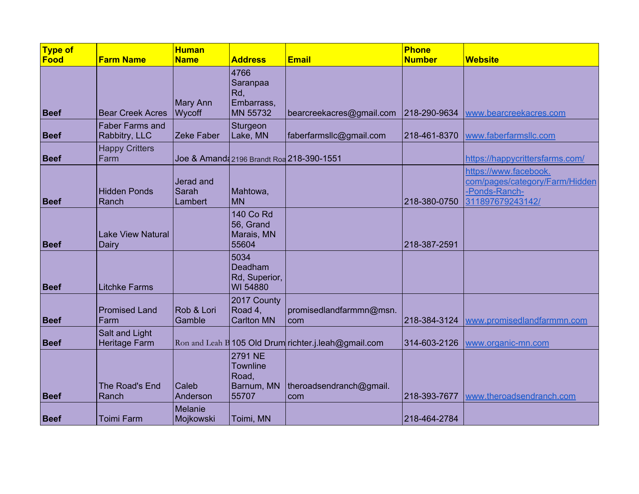| Type of     |                                         | <b>Human</b>                  |                                                            |                                                      | <b>Phone</b>  |                                                                                              |
|-------------|-----------------------------------------|-------------------------------|------------------------------------------------------------|------------------------------------------------------|---------------|----------------------------------------------------------------------------------------------|
| Food        | <b>Farm Name</b>                        | <b>Name</b>                   | <b>Address</b>                                             | <b>Email</b>                                         | <b>Number</b> | <b>Website</b>                                                                               |
| <b>Beef</b> | <b>Bear Creek Acres</b>                 | Mary Ann<br>Wycoff            | 4766<br>Saranpaa<br>Rd,<br>Embarrass,<br><b>MN 55732</b>   | bearcreekacres@gmail.com                             | 218-290-9634  | www.bearcreekacres.com                                                                       |
| <b>Beef</b> | <b>Faber Farms and</b><br>Rabbitry, LLC | Zeke Faber                    | Sturgeon<br>Lake, MN                                       | faberfarmslic@gmail.com                              | 218-461-8370  | www.faberfarmsllc.com                                                                        |
| <b>Beef</b> | <b>Happy Critters</b><br>Farm           |                               |                                                            | Joe & Amanda 2196 Brandt Roa 218-390-1551            |               | https://happycrittersfarms.com/                                                              |
| <b>Beef</b> | <b>Hidden Ponds</b><br>Ranch            | Jerad and<br>Sarah<br>Lambert | Mahtowa,<br><b>MN</b>                                      |                                                      | 218-380-0750  | https://www.facebook.<br>com/pages/category/Farm/Hidden<br>-Ponds-Ranch-<br>311897679243142/ |
| <b>Beef</b> | <b>Lake View Natural</b><br>Dairy       |                               | <b>140 Co Rd</b><br>56, Grand<br>Marais, MN<br>55604       |                                                      | 218-387-2591  |                                                                                              |
| <b>Beef</b> | <b>Litchke Farms</b>                    |                               | 5034<br>Deadham<br>Rd, Superior,<br>WI 54880               |                                                      |               |                                                                                              |
| <b>Beef</b> | <b>Promised Land</b><br>Farm            | Rob & Lori<br>Gamble          | 2017 County<br>Road 4,<br><b>Carlton MN</b>                | promisedlandfarmmn@msn.<br>com                       | 218-384-3124  | www.promisedlandfarmmn.com                                                                   |
| <b>Beef</b> | Salt and Light<br><b>Heritage Farm</b>  |                               |                                                            | Ron and Leah B 105 Old Drum richter.j.leah@gmail.com | 314-603-2126  | www.organic-mn.com                                                                           |
| <b>Beef</b> | The Road's End<br>Ranch                 | Caleb<br>Anderson             | 2791 NE<br><b>Townline</b><br>Road,<br>Barnum, MN<br>55707 | theroadsendranch@gmail.<br>com                       | 218-393-7677  | www.theroadsendranch.com                                                                     |
| <b>Beef</b> | <b>Toimi Farm</b>                       | <b>Melanie</b><br>Mojkowski   | Toimi, MN                                                  |                                                      | 218-464-2784  |                                                                                              |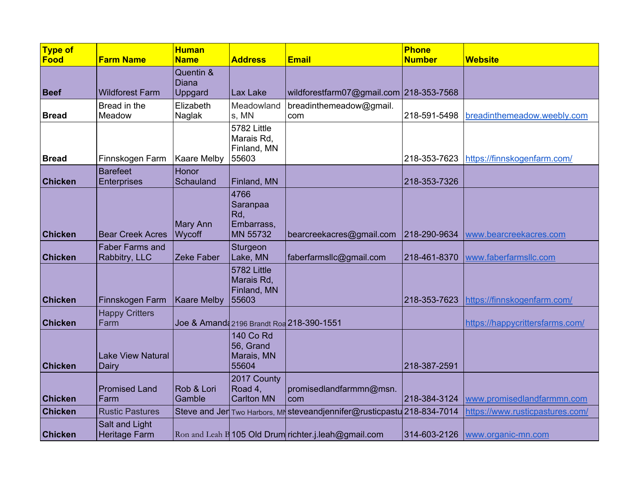| <b>Type of</b> |                                         | <b>Human</b>                         |                                                          |                                                                         | <b>Phone</b>  |                                 |
|----------------|-----------------------------------------|--------------------------------------|----------------------------------------------------------|-------------------------------------------------------------------------|---------------|---------------------------------|
| Food           | <b>Farm Name</b>                        | <b>Name</b>                          | <b>Address</b>                                           | <b>Email</b>                                                            | <b>Number</b> | <b>Website</b>                  |
| <b>Beef</b>    | <b>Wildforest Farm</b>                  | Quentin &<br><b>Diana</b><br>Uppgard | Lax Lake                                                 | wildforestfarm07@gmail.com 218-353-7568                                 |               |                                 |
| <b>Bread</b>   | Bread in the<br>Meadow                  | Elizabeth<br>Naglak                  | Meadowland<br>s, MN                                      | breadinthemeadow@gmail.<br>com                                          | 218-591-5498  | breadinthemeadow.weebly.com     |
| <b>Bread</b>   | Finnskogen Farm                         | Kaare Melby                          | 5782 Little<br>Marais Rd,<br>Finland, MN<br>55603        |                                                                         | 218-353-7623  | https://finnskogenfarm.com/     |
| <b>Chicken</b> | <b>Barefeet</b><br><b>Enterprises</b>   | Honor<br>Schauland                   | Finland, MN                                              |                                                                         | 218-353-7326  |                                 |
| <b>Chicken</b> | <b>Bear Creek Acres</b>                 | Mary Ann<br>Wycoff                   | 4766<br>Saranpaa<br>Rd,<br>Embarrass,<br><b>MN 55732</b> | bearcreekacres@gmail.com                                                | 218-290-9634  | www.bearcreekacres.com          |
| <b>Chicken</b> | <b>Faber Farms and</b><br>Rabbitry, LLC | Zeke Faber                           | Sturgeon<br>Lake, MN                                     | faberfarmslic@gmail.com                                                 | 218-461-8370  | www.faberfarmsllc.com           |
| <b>Chicken</b> | Finnskogen Farm                         | <b>Kaare Melby</b>                   | 5782 Little<br>Marais Rd,<br>Finland, MN<br>55603        |                                                                         | 218-353-7623  | https://finnskogenfarm.com/     |
| <b>Chicken</b> | <b>Happy Critters</b><br>Farm           |                                      |                                                          | Joe & Amanda 2196 Brandt Roa 218-390-1551                               |               | https://happycrittersfarms.com/ |
| <b>Chicken</b> | <b>Lake View Natural</b><br>Dairy       |                                      | <b>140 Co Rd</b><br>56, Grand<br>Marais, MN<br>55604     |                                                                         | 218-387-2591  |                                 |
| <b>Chicken</b> | <b>Promised Land</b><br>Farm            | Rob & Lori<br>Gamble                 | 2017 County<br>Road 4,<br><b>Carlton MN</b>              | promisedlandfarmmn@msn.<br>com                                          | 218-384-3124  | www.promisedlandfarmmn.com      |
| <b>Chicken</b> | <b>Rustic Pastures</b>                  |                                      |                                                          | Steve and Jer Two Harbors, MI steveandjennifer@rusticpastu 218-834-7014 |               | https://www.rusticpastures.com/ |
| <b>Chicken</b> | Salt and Light<br><b>Heritage Farm</b>  |                                      |                                                          | Ron and Leah B 105 Old Drum richter.j.leah@gmail.com                    | 314-603-2126  | www.organic-mn.com              |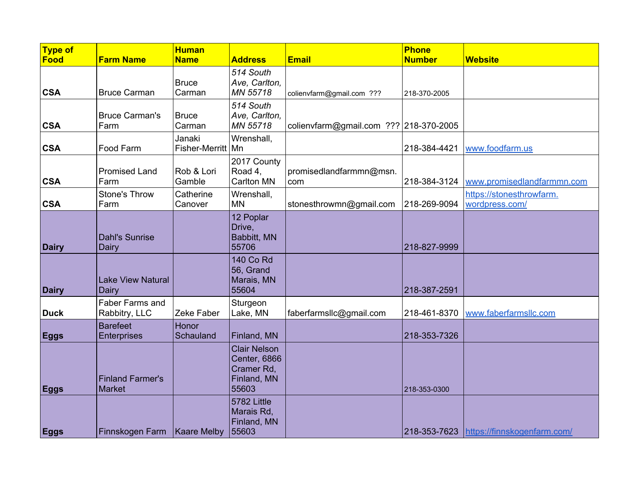| $\sqrt{\textsf{Type of}}$<br>Food | <b>Farm Name</b>                         | <b>Human</b><br><b>Name</b>   | <b>Address</b>                                                            | <b>Email</b>                             | <b>Phone</b><br><b>Number</b> | <b>Website</b>                             |
|-----------------------------------|------------------------------------------|-------------------------------|---------------------------------------------------------------------------|------------------------------------------|-------------------------------|--------------------------------------------|
| <b>CSA</b>                        | <b>Bruce Carman</b>                      | <b>Bruce</b><br>Carman        | 514 South<br>Ave, Carlton,<br>MN 55718                                    | colienvfarm@gmail.com ???                | 218-370-2005                  |                                            |
| <b>CSA</b>                        | <b>Bruce Carman's</b><br>Farm            | <b>Bruce</b><br>Carman        | 514 South<br>Ave, Carlton,<br>MN 55718                                    | colienvfarm@gmail.com ???   218-370-2005 |                               |                                            |
| <b>CSA</b>                        | Food Farm                                | Janaki<br>Fisher-Merritt   Mn | Wrenshall,                                                                |                                          | 218-384-4421                  | www.foodfarm.us                            |
| <b>CSA</b>                        | <b>Promised Land</b><br>Farm             | Rob & Lori<br>Gamble          | 2017 County<br>Road 4,<br><b>Carlton MN</b>                               | promisedlandfarmmn@msn.<br>com           | 218-384-3124                  | www.promisedlandfarmmn.com                 |
| <b>CSA</b>                        | Stone's Throw<br>Farm                    | Catherine<br>Canover          | Wrenshall,<br><b>MN</b>                                                   | stonesthrowmn@gmail.com                  | 218-269-9094                  | https://stonesthrowfarm.<br>wordpress.com/ |
| <b>Dairy</b>                      | <b>Dahl's Sunrise</b><br>Dairy           |                               | 12 Poplar<br>Drive,<br><b>Babbitt, MN</b><br>55706                        |                                          | 218-827-9999                  |                                            |
| <b>Dairy</b>                      | <b>Lake View Natural</b><br>Dairy        |                               | <b>140 Co Rd</b><br>56, Grand<br>Marais, MN<br>55604                      |                                          | 218-387-2591                  |                                            |
| <b>Duck</b>                       | Faber Farms and<br>Rabbitry, LLC         | Zeke Faber                    | Sturgeon<br>Lake, MN                                                      | faberfarmsllc@gmail.com                  | 218-461-8370                  | www.faberfarmsllc.com                      |
| <b>Eggs</b>                       | <b>Barefeet</b><br>Enterprises           | Honor<br>Schauland            | Finland, MN                                                               |                                          | 218-353-7326                  |                                            |
| <b>Eggs</b>                       | <b>Finland Farmer's</b><br><b>Market</b> |                               | <b>Clair Nelson</b><br>Center, 6866<br>Cramer Rd,<br>Finland, MN<br>55603 |                                          | 218-353-0300                  |                                            |
| <b>Eggs</b>                       | Finnskogen Farm                          | <b>Kaare Melby</b>            | 5782 Little<br>Marais Rd,<br>Finland, MN<br>55603                         |                                          |                               | 218-353-7623 https://finnskogenfarm.com/   |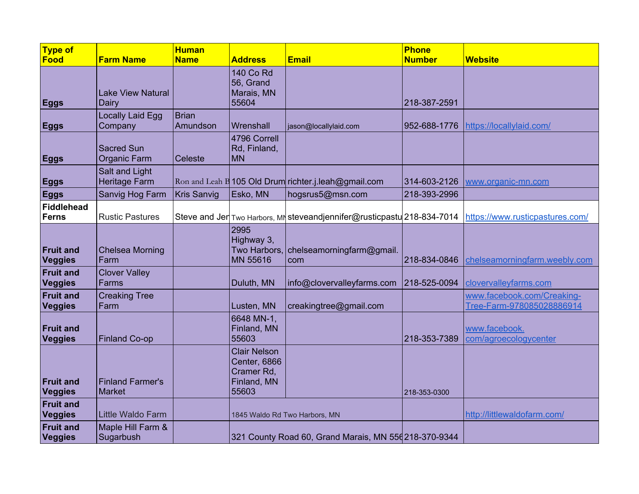| <b>Type of</b>                     |                                          | <b>Human</b>             |                                                                           |                                                                         | <b>Phone</b>  |                                                         |
|------------------------------------|------------------------------------------|--------------------------|---------------------------------------------------------------------------|-------------------------------------------------------------------------|---------------|---------------------------------------------------------|
| <b>Food</b>                        | <b>Farm Name</b>                         | <b>Name</b>              | <b>Address</b>                                                            | <b>Email</b>                                                            | <b>Number</b> | <b>Website</b>                                          |
| <b>Eggs</b>                        | <b>Lake View Natural</b><br>Dairy        |                          | <b>140 Co Rd</b><br>56, Grand<br>Marais, MN<br>55604                      |                                                                         | 218-387-2591  |                                                         |
| <b>Eggs</b>                        | Locally Laid Egg<br>Company              | <b>Brian</b><br>Amundson | Wrenshall                                                                 | jason@locallylaid.com                                                   | 952-688-1776  | https://locallylaid.com/                                |
| <b>Eggs</b>                        | <b>Sacred Sun</b><br><b>Organic Farm</b> | Celeste                  | 4796 Correll<br>Rd, Finland,<br><b>MN</b>                                 |                                                                         |               |                                                         |
| <b>Eggs</b>                        | Salt and Light<br><b>Heritage Farm</b>   |                          |                                                                           | Ron and Leah B 105 Old Drum richter.j.leah@gmail.com                    | 314-603-2126  | www.organic-mn.com                                      |
| <b>Eggs</b>                        | Sanvig Hog Farm                          | <b>Kris Sanvig</b>       | Esko, MN                                                                  | hogsrus5@msn.com                                                        | 218-393-2996  |                                                         |
| <b>Fiddlehead</b><br><b>Ferns</b>  | <b>Rustic Pastures</b>                   |                          |                                                                           | Steve and Jer Two Harbors, MN steveandjennifer@rusticpastu 218-834-7014 |               | https://www.rusticpastures.com/                         |
| <b>Fruit and</b><br>Veggies        | <b>Chelsea Morning</b><br>Farm           |                          | 2995<br>Highway 3,<br>MN 55616                                            | Two Harbors, chelseamorningfarm@gmail.<br>com                           | 218-834-0846  | chelseamorningfarm.weebly.com                           |
| <b>Fruit and</b><br>Veggies        | <b>Clover Valley</b><br>Farms            |                          | Duluth, MN                                                                | info@clovervalleyfarms.com                                              | 218-525-0094  | clovervalleyfarms.com                                   |
| <b>Fruit and</b><br>Veggies        | <b>Creaking Tree</b><br>Farm             |                          | Lusten, MN                                                                | creakingtree@gmail.com                                                  |               | www.facebook.com/Creaking-<br>Tree-Farm-978085028886914 |
| <b>Fruit and</b><br><b>Veggies</b> | <b>Finland Co-op</b>                     |                          | 6648 MN-1,<br>Finland, MN<br>55603                                        |                                                                         | 218-353-7389  | www.facebook.<br>com/agroecologycenter                  |
| <b>Fruit and</b><br><b>Veggies</b> | <b>Finland Farmer's</b><br><b>Market</b> |                          | <b>Clair Nelson</b><br>Center, 6866<br>Cramer Rd,<br>Finland, MN<br>55603 |                                                                         | 218-353-0300  |                                                         |
| <b>Fruit and</b><br>Veggies        | <b>Little Waldo Farm</b>                 |                          |                                                                           | 1845 Waldo Rd Two Harbors, MN                                           |               | http://littlewaldofarm.com/                             |
| <b>Fruit and</b><br><b>Veggies</b> | Maple Hill Farm &<br>Sugarbush           |                          |                                                                           | 321 County Road 60, Grand Marais, MN 556 218-370-9344                   |               |                                                         |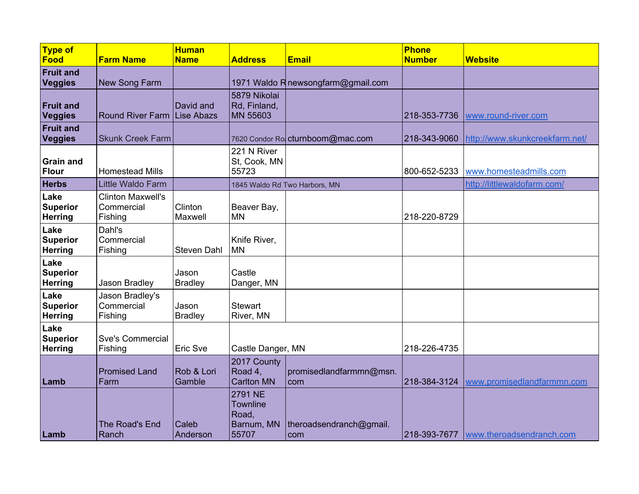| <b>Type of</b><br>Food                    | <b>Farm Name</b>                                  | <b>Human</b><br><b>Name</b> | <b>Address</b>                                             | <b>Email</b>                      | <b>Phone</b><br><b>Number</b> | <b>Website</b>                         |
|-------------------------------------------|---------------------------------------------------|-----------------------------|------------------------------------------------------------|-----------------------------------|-------------------------------|----------------------------------------|
| <b>Fruit and</b><br><b>Veggies</b>        | New Song Farm                                     |                             |                                                            | 1971 Waldo Rnewsongfarm@gmail.com |                               |                                        |
| <b>Fruit and</b><br>Veggies               | Round River Farm Lise Abazs                       | David and                   | 5879 Nikolai<br>Rd, Finland,<br>MN 55603                   |                                   | 218-353-7736                  | www.round-river.com                    |
| <b>Fruit and</b><br><b>Veggies</b>        | <b>Skunk Creek Farm</b>                           |                             |                                                            | 7620 Condor Ro cturnboom@mac.com  | 218-343-9060                  | http://www.skunkcreekfarm.net/         |
| <b>Grain and</b><br><b>Flour</b>          | <b>Homestead Mills</b>                            |                             | 221 N River<br>St, Cook, MN<br>55723                       |                                   | 800-652-5233                  | www.homesteadmills.com                 |
| <b>Herbs</b>                              | <b>Little Waldo Farm</b>                          |                             |                                                            | 1845 Waldo Rd Two Harbors, MN     |                               | http://littlewaldofarm.com/            |
| Lake<br><b>Superior</b><br><b>Herring</b> | <b>Clinton Maxwell's</b><br>Commercial<br>Fishing | Clinton<br>Maxwell          | Beaver Bay,<br><b>MN</b>                                   |                                   | 218-220-8729                  |                                        |
| Lake<br><b>Superior</b><br><b>Herring</b> | Dahl's<br>Commercial<br>Fishing                   | <b>Steven Dahl</b>          | Knife River,<br><b>MN</b>                                  |                                   |                               |                                        |
| Lake<br><b>Superior</b><br><b>Herring</b> | Jason Bradley                                     | Jason<br><b>Bradley</b>     | Castle<br>Danger, MN                                       |                                   |                               |                                        |
| Lake<br><b>Superior</b><br><b>Herring</b> | Jason Bradley's<br>Commercial<br>Fishing          | Jason<br><b>Bradley</b>     | <b>Stewart</b><br>River, MN                                |                                   |                               |                                        |
| Lake<br><b>Superior</b><br><b>Herring</b> | <b>Sve's Commercial</b><br>Fishing                | Eric Sve                    | Castle Danger, MN                                          |                                   | 218-226-4735                  |                                        |
| Lamb                                      | <b>Promised Land</b><br>Farm                      | Rob & Lori<br>Gamble        | 2017 County<br>Road 4,<br><b>Carlton MN</b>                | promisedlandfarmmn@msn.<br>com    | 218-384-3124                  | www.promisedlandfarmmn.com             |
| Lamb                                      | The Road's End<br>Ranch                           | Caleb<br>Anderson           | 2791 NE<br><b>Townline</b><br>Road,<br>Barnum, MN<br>55707 | theroadsendranch@gmail.<br>com    |                               | 218-393-7677  www.theroadsendranch.com |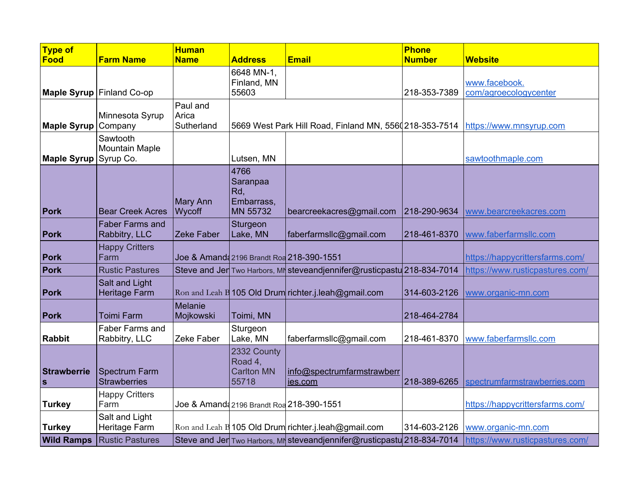| Type of                     |                                             | <b>Human</b>                    |                                                          |                                                                         | <b>Phone</b>  |                                        |
|-----------------------------|---------------------------------------------|---------------------------------|----------------------------------------------------------|-------------------------------------------------------------------------|---------------|----------------------------------------|
| <b>Food</b>                 | <b>Farm Name</b>                            | <b>Name</b>                     | <b>Address</b>                                           | <b>Email</b>                                                            | <b>Number</b> | <b>Website</b>                         |
|                             | Maple Syrup Finland Co-op                   |                                 | 6648 MN-1,<br>Finland, MN<br>55603                       |                                                                         | 218-353-7389  | www.facebook.<br>com/agroecologycenter |
| Maple Syrup Company         | Minnesota Syrup                             | Paul and<br>Arica<br>Sutherland |                                                          | 5669 West Park Hill Road, Finland MN, 5560218-353-7514                  |               | https://www.mnsyrup.com                |
| Maple Syrup Syrup Co.       | Sawtooth<br><b>Mountain Maple</b>           |                                 | Lutsen, MN                                               |                                                                         |               | sawtoothmaple.com                      |
| Pork                        | <b>Bear Creek Acres</b>                     | Mary Ann<br>Wycoff              | 4766<br>Saranpaa<br>Rd,<br>Embarrass,<br><b>MN 55732</b> | bearcreekacres@gmail.com                                                | 218-290-9634  | www.bearcreekacres.com                 |
| Pork                        | <b>Faber Farms and</b><br>Rabbitry, LLC     | Zeke Faber                      | Sturgeon<br>Lake, MN                                     | faberfarmsllc@gmail.com                                                 | 218-461-8370  | www.faberfarmsllc.com                  |
| <b>Pork</b>                 | <b>Happy Critters</b><br>Farm               |                                 | Joe & Amanda 2196 Brandt Roa 218-390-1551                |                                                                         |               | https://happycrittersfarms.com/        |
| Pork                        | <b>Rustic Pastures</b>                      |                                 |                                                          | Steve and Jer Two Harbors, MN steveandjennifer@rusticpastu 218-834-7014 |               | https://www.rusticpastures.com/        |
| Pork                        | Salt and Light<br><b>Heritage Farm</b>      |                                 |                                                          | $\vert$ Ron and Leah B 105 Old Drum richter.j.leah@gmail.com            | 314-603-2126  | www.organic-mn.com                     |
| Pork                        | <b>Toimi Farm</b>                           | Melanie<br>Mojkowski            | Toimi, MN                                                |                                                                         | 218-464-2784  |                                        |
| <b>Rabbit</b>               | Faber Farms and<br>Rabbitry, LLC            | Zeke Faber                      | Sturgeon<br>Lake, MN                                     | faberfarmsllc@gmail.com                                                 | 218-461-8370  | www.faberfarmsllc.com                  |
| Strawberrie<br>$\mathbf{s}$ | <b>Spectrum Farm</b><br><b>Strawberries</b> |                                 | 2332 County<br>Road 4,<br><b>Carlton MN</b><br>55718     | info@spectrumfarmstrawberr<br>jes.com                                   | 218-389-6265  | spectrumfarmstrawberries.com           |
| <b>Turkey</b>               | <b>Happy Critters</b><br>Farm               |                                 | Joe & Amand 2196 Brandt Roa 218-390-1551                 |                                                                         |               | https://happycrittersfarms.com/        |
| <b>Turkey</b>               | Salt and Light<br>Heritage Farm             |                                 |                                                          | Ron and Leah B 105 Old Drum richter.j.leah@gmail.com                    | 314-603-2126  | www.organic-mn.com                     |
| <b>Wild Ramps</b>           | Rustic Pastures                             |                                 |                                                          | Steve and Jer Two Harbors, MN steveandjennifer@rusticpastu 218-834-7014 |               | https://www.rusticpastures.com/        |